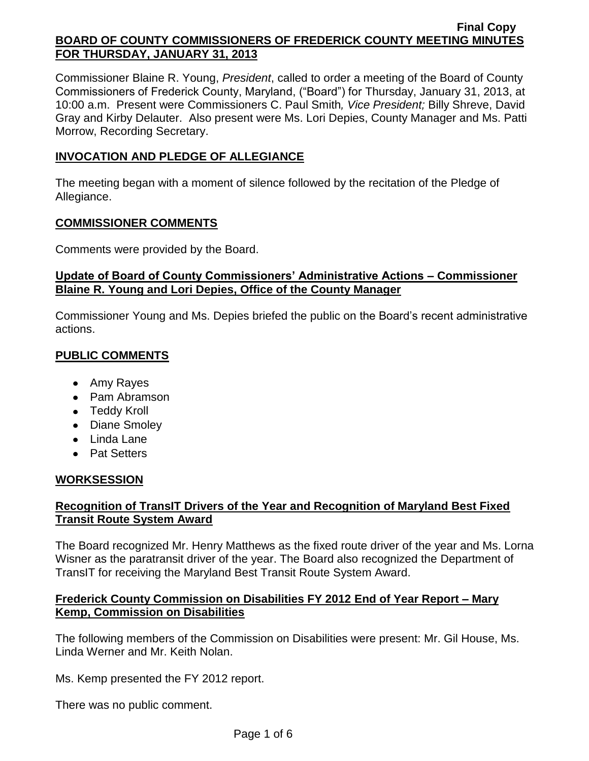Commissioner Blaine R. Young, *President*, called to order a meeting of the Board of County Commissioners of Frederick County, Maryland, ("Board") for Thursday, January 31, 2013, at 10:00 a.m. Present were Commissioners C. Paul Smith*, Vice President;* Billy Shreve, David Gray and Kirby Delauter. Also present were Ms. Lori Depies, County Manager and Ms. Patti Morrow, Recording Secretary.

## **INVOCATION AND PLEDGE OF ALLEGIANCE**

The meeting began with a moment of silence followed by the recitation of the Pledge of Allegiance.

#### **COMMISSIONER COMMENTS**

Comments were provided by the Board.

## **Update of Board of County Commissioners' Administrative Actions – Commissioner Blaine R. Young and Lori Depies, Office of the County Manager**

Commissioner Young and Ms. Depies briefed the public on the Board's recent administrative actions.

# **PUBLIC COMMENTS**

- Amy Rayes
- Pam Abramson
- Teddy Kroll
- Diane Smoley
- Linda Lane
- Pat Setters

# **WORKSESSION**

## **Recognition of TransIT Drivers of the Year and Recognition of Maryland Best Fixed Transit Route System Award**

The Board recognized Mr. Henry Matthews as the fixed route driver of the year and Ms. Lorna Wisner as the paratransit driver of the year. The Board also recognized the Department of TransIT for receiving the Maryland Best Transit Route System Award.

## **Frederick County Commission on Disabilities FY 2012 End of Year Report – Mary Kemp, Commission on Disabilities**

The following members of the Commission on Disabilities were present: Mr. Gil House, Ms. Linda Werner and Mr. Keith Nolan.

Ms. Kemp presented the FY 2012 report.

There was no public comment.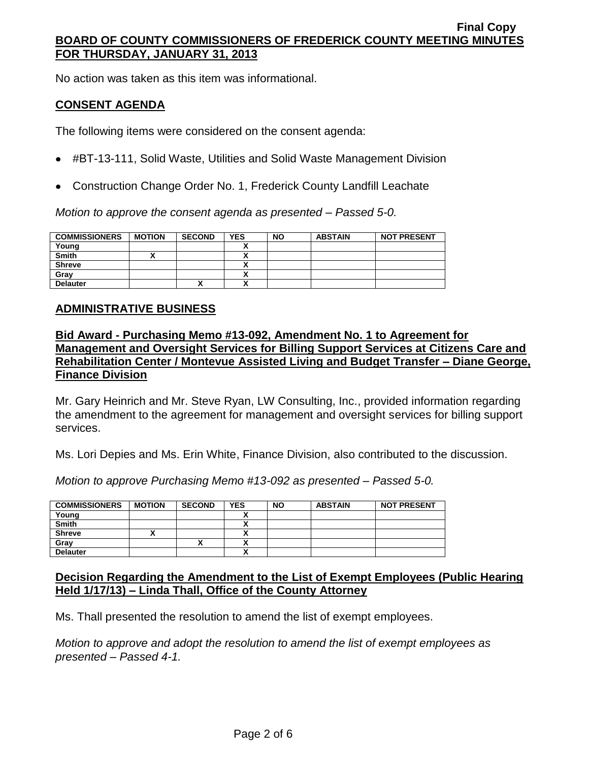No action was taken as this item was informational.

## **CONSENT AGENDA**

The following items were considered on the consent agenda:

- #BT-13-111, Solid Waste, Utilities and Solid Waste Management Division
- Construction Change Order No. 1, Frederick County Landfill Leachate

*Motion to approve the consent agenda as presented – Passed 5-0.*

| <b>COMMISSIONERS</b> | <b>MOTION</b> | <b>SECOND</b> | YES | <b>NO</b> | <b>ABSTAIN</b> | <b>NOT PRESENT</b> |
|----------------------|---------------|---------------|-----|-----------|----------------|--------------------|
| Young                |               |               |     |           |                |                    |
| <b>Smith</b>         |               |               |     |           |                |                    |
| <b>Shreve</b>        |               |               |     |           |                |                    |
| Gray                 |               |               |     |           |                |                    |
| <b>Delauter</b>      |               | ́             | ~   |           |                |                    |

### **ADMINISTRATIVE BUSINESS**

## **Bid Award - Purchasing Memo #13-092, Amendment No. 1 to Agreement for Management and Oversight Services for Billing Support Services at Citizens Care and Rehabilitation Center / Montevue Assisted Living and Budget Transfer – Diane George, Finance Division**

Mr. Gary Heinrich and Mr. Steve Ryan, LW Consulting, Inc., provided information regarding the amendment to the agreement for management and oversight services for billing support services.

Ms. Lori Depies and Ms. Erin White, Finance Division, also contributed to the discussion.

*Motion to approve Purchasing Memo #13-092 as presented – Passed 5-0.*

| <b>COMMISSIONERS</b> | <b>MOTION</b> | <b>SECOND</b> | <b>YES</b> | <b>NO</b> | <b>ABSTAIN</b> | <b>NOT PRESENT</b> |
|----------------------|---------------|---------------|------------|-----------|----------------|--------------------|
| Young                |               |               |            |           |                |                    |
| <b>Smith</b>         |               |               |            |           |                |                    |
| <b>Shreve</b>        |               |               |            |           |                |                    |
| Grav                 |               | Λ             |            |           |                |                    |
| <b>Delauter</b>      |               |               |            |           |                |                    |

## **Decision Regarding the Amendment to the List of Exempt Employees (Public Hearing Held 1/17/13) – Linda Thall, Office of the County Attorney**

Ms. Thall presented the resolution to amend the list of exempt employees.

*Motion to approve and adopt the resolution to amend the list of exempt employees as presented – Passed 4-1.*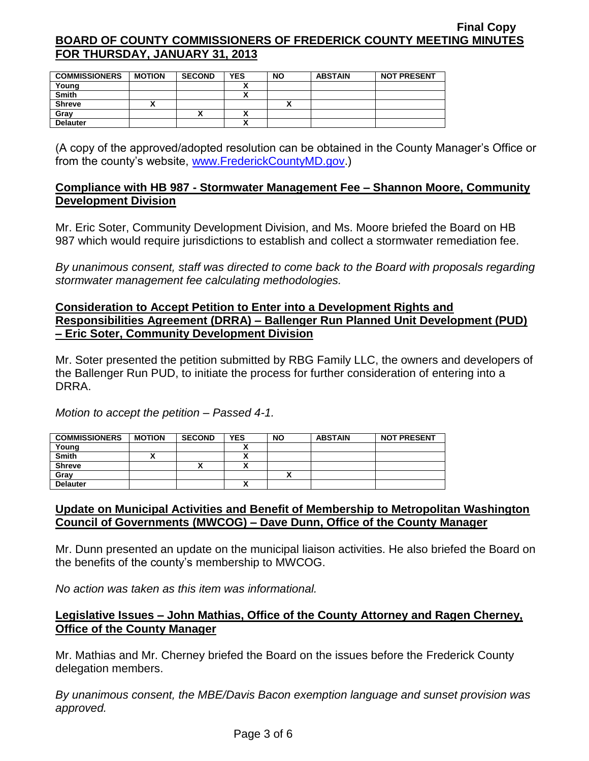| <b>COMMISSIONERS</b> | <b>MOTION</b> | <b>SECOND</b> | <b>YES</b> | <b>NO</b> | <b>ABSTAIN</b> | <b>NOT PRESENT</b> |
|----------------------|---------------|---------------|------------|-----------|----------------|--------------------|
| Young                |               |               |            |           |                |                    |
| <b>Smith</b>         |               |               |            |           |                |                    |
| <b>Shreve</b>        |               |               |            | ↗         |                |                    |
| Gray                 |               | Λ             |            |           |                |                    |
| <b>Delauter</b>      |               |               |            |           |                |                    |

(A copy of the approved/adopted resolution can be obtained in the County Manager's Office or from the county's website, [www.FrederickCountyMD.gov.](http://www.frederickcountymd.gov/))

## **Compliance with HB 987 - Stormwater Management Fee – Shannon Moore, Community Development Division**

Mr. Eric Soter, Community Development Division, and Ms. Moore briefed the Board on HB 987 which would require jurisdictions to establish and collect a stormwater remediation fee.

*By unanimous consent, staff was directed to come back to the Board with proposals regarding stormwater management fee calculating methodologies.*

### **Consideration to Accept Petition to Enter into a Development Rights and Responsibilities Agreement (DRRA) – Ballenger Run Planned Unit Development (PUD) – Eric Soter, Community Development Division**

Mr. Soter presented the petition submitted by RBG Family LLC, the owners and developers of the Ballenger Run PUD, to initiate the process for further consideration of entering into a DRRA.

*Motion to accept the petition – Passed 4-1.*

| <b>COMMISSIONERS</b> | <b>MOTION</b> | <b>SECOND</b> | <b>YES</b> | <b>NO</b> | <b>ABSTAIN</b> | <b>NOT PRESENT</b> |
|----------------------|---------------|---------------|------------|-----------|----------------|--------------------|
| Young                |               |               |            |           |                |                    |
| <b>Smith</b>         |               |               |            |           |                |                    |
| <b>Shreve</b>        |               | "             |            |           |                |                    |
| Gray                 |               |               |            |           |                |                    |
| <b>Delauter</b>      |               |               |            |           |                |                    |

## **Update on Municipal Activities and Benefit of Membership to Metropolitan Washington Council of Governments (MWCOG) – Dave Dunn, Office of the County Manager**

Mr. Dunn presented an update on the municipal liaison activities. He also briefed the Board on the benefits of the county's membership to MWCOG.

*No action was taken as this item was informational.*

## **Legislative Issues – John Mathias, Office of the County Attorney and Ragen Cherney, Office of the County Manager**

Mr. Mathias and Mr. Cherney briefed the Board on the issues before the Frederick County delegation members.

*By unanimous consent, the MBE/Davis Bacon exemption language and sunset provision was approved.*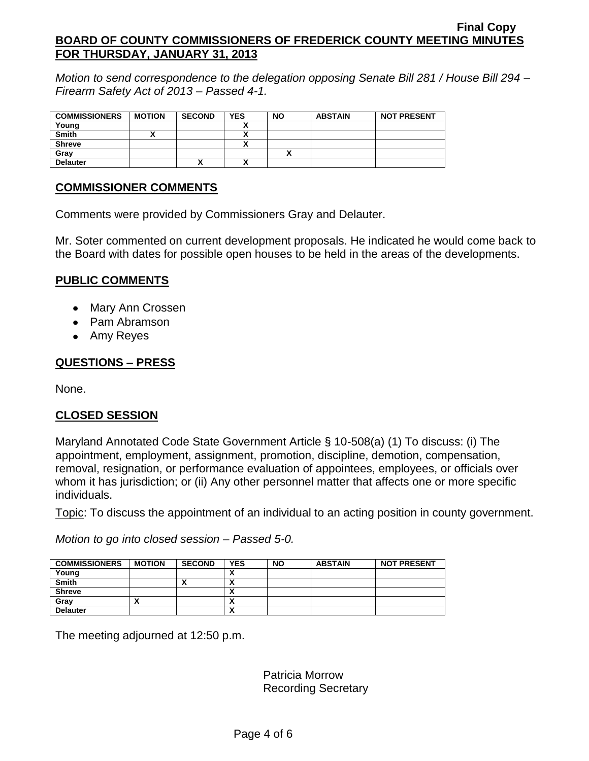*Motion to send correspondence to the delegation opposing Senate Bill 281 / House Bill 294 – Firearm Safety Act of 2013 – Passed 4-1.*

| <b>COMMISSIONERS</b> | <b>MOTION</b> | <b>SECOND</b> | <b>YES</b>           | <b>NO</b> | <b>ABSTAIN</b> | <b>NOT PRESENT</b> |
|----------------------|---------------|---------------|----------------------|-----------|----------------|--------------------|
| Young                |               |               |                      |           |                |                    |
| <b>Smith</b>         |               |               |                      |           |                |                    |
| <b>Shreve</b>        |               |               | $\ddot{\phantom{1}}$ |           |                |                    |
| Grav                 |               |               |                      |           |                |                    |
| <b>Delauter</b>      |               | Λ             | ٠.                   |           |                |                    |

### **COMMISSIONER COMMENTS**

Comments were provided by Commissioners Gray and Delauter.

Mr. Soter commented on current development proposals. He indicated he would come back to the Board with dates for possible open houses to be held in the areas of the developments.

## **PUBLIC COMMENTS**

- Mary Ann Crossen
- Pam Abramson
- Amy Reyes

## **QUESTIONS – PRESS**

None.

# **CLOSED SESSION**

Maryland Annotated Code State Government Article § 10-508(a) (1) To discuss: (i) The appointment, employment, assignment, promotion, discipline, demotion, compensation, removal, resignation, or performance evaluation of appointees, employees, or officials over whom it has jurisdiction; or (ii) Any other personnel matter that affects one or more specific individuals.

Topic: To discuss the appointment of an individual to an acting position in county government.

*Motion to go into closed session – Passed 5-0.*

| <b>COMMISSIONERS</b> | <b>MOTION</b> | <b>SECOND</b> | <b>YES</b> | <b>NO</b> | <b>ABSTAIN</b> | <b>NOT PRESENT</b> |
|----------------------|---------------|---------------|------------|-----------|----------------|--------------------|
| Young                |               |               |            |           |                |                    |
| <b>Smith</b>         |               | ~             | ^          |           |                |                    |
| <b>Shreve</b>        |               |               | Λ          |           |                |                    |
| Grav                 |               |               | ^          |           |                |                    |
| <b>Delauter</b>      |               |               | Λ          |           |                |                    |

The meeting adjourned at 12:50 p.m.

Patricia Morrow Recording Secretary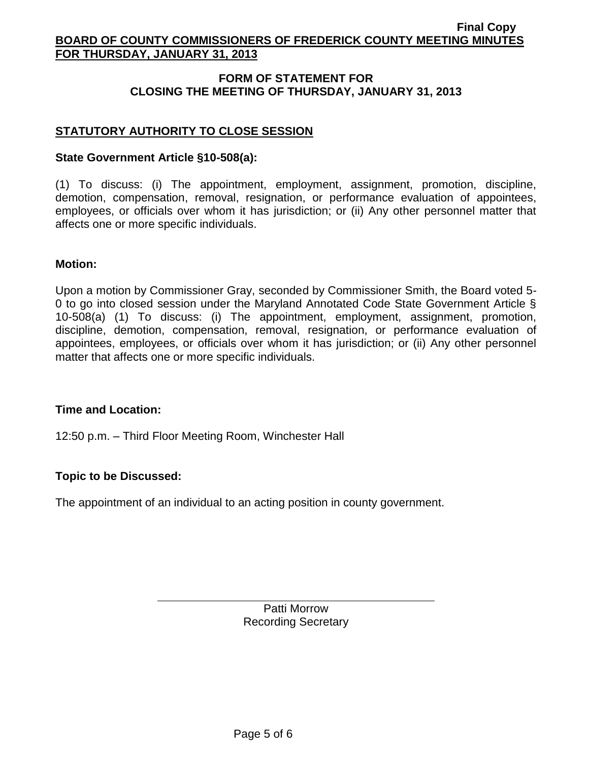## **FORM OF STATEMENT FOR CLOSING THE MEETING OF THURSDAY, JANUARY 31, 2013**

## **STATUTORY AUTHORITY TO CLOSE SESSION**

### **State Government Article §10-508(a):**

(1) To discuss: (i) The appointment, employment, assignment, promotion, discipline, demotion, compensation, removal, resignation, or performance evaluation of appointees, employees, or officials over whom it has jurisdiction; or (ii) Any other personnel matter that affects one or more specific individuals.

### **Motion:**

Upon a motion by Commissioner Gray, seconded by Commissioner Smith, the Board voted 5- 0 to go into closed session under the Maryland Annotated Code State Government Article § 10-508(a) (1) To discuss: (i) The appointment, employment, assignment, promotion, discipline, demotion, compensation, removal, resignation, or performance evaluation of appointees, employees, or officials over whom it has jurisdiction; or (ii) Any other personnel matter that affects one or more specific individuals.

#### **Time and Location:**

12:50 p.m. – Third Floor Meeting Room, Winchester Hall

## **Topic to be Discussed:**

The appointment of an individual to an acting position in county government.

Patti Morrow Recording Secretary